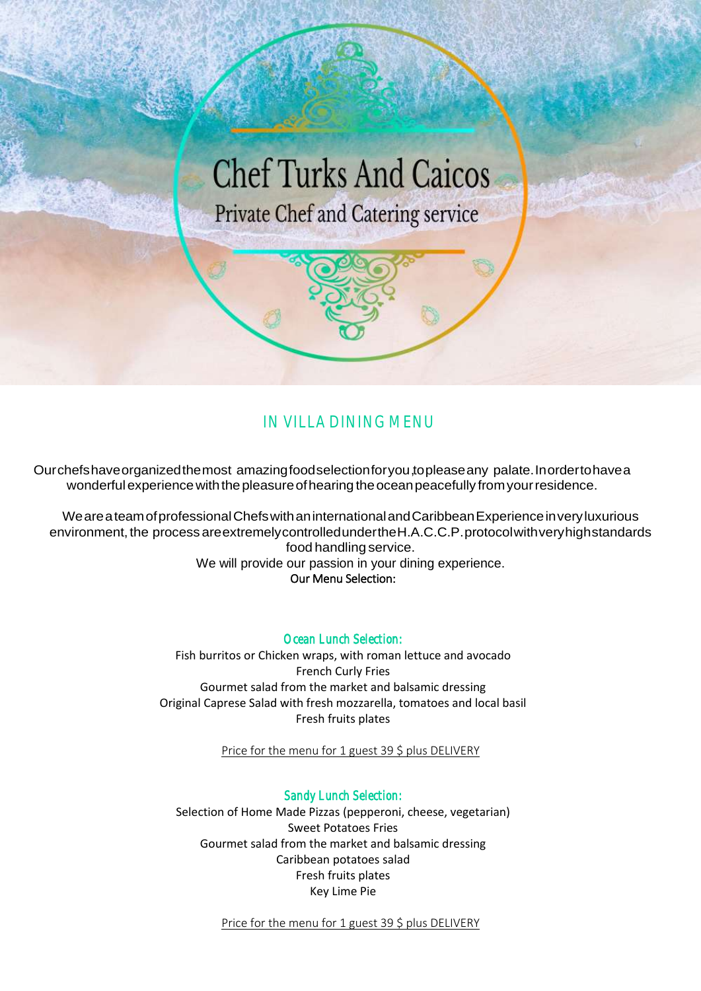

# *IN VILLA DINING MENU*

Ourchefshaveorganizedthemost amazingfoodselectionforyou, topleaseany palate.Inordertohavea wonderfulexperiencewiththepleasureofhearing theoceanpeacefully fromyourresidence.

WeareateamofprofessionalChefswithaninternationalandCaribbeanExperienceinveryluxurious environment, the process areextremely controlled under the H.A.C.C.P. protocol with very high standards food handling service. We will provide our passion in your dining experience. Our Menu Selection:

*Ocean Lunch Selection:* 

Fish burritos or Chicken wraps, with roman lettuce and avocado French Curly Fries Gourmet salad from the market and balsamic dressing Original Caprese Salad with fresh mozzarella, tomatoes and local basil Fresh fruits plates

Price for the menu for 1 guest 39 \$ plus DELIVERY

*Sandy Lunch Selection:*  Selection of Home Made Pizzas (pepperoni, cheese, vegetarian) Sweet Potatoes Fries Gourmet salad from the market and balsamic dressing Caribbean potatoes salad Fresh fruits plates Key Lime Pie

Price for the menu for 1 guest 39 \$ plus DELIVERY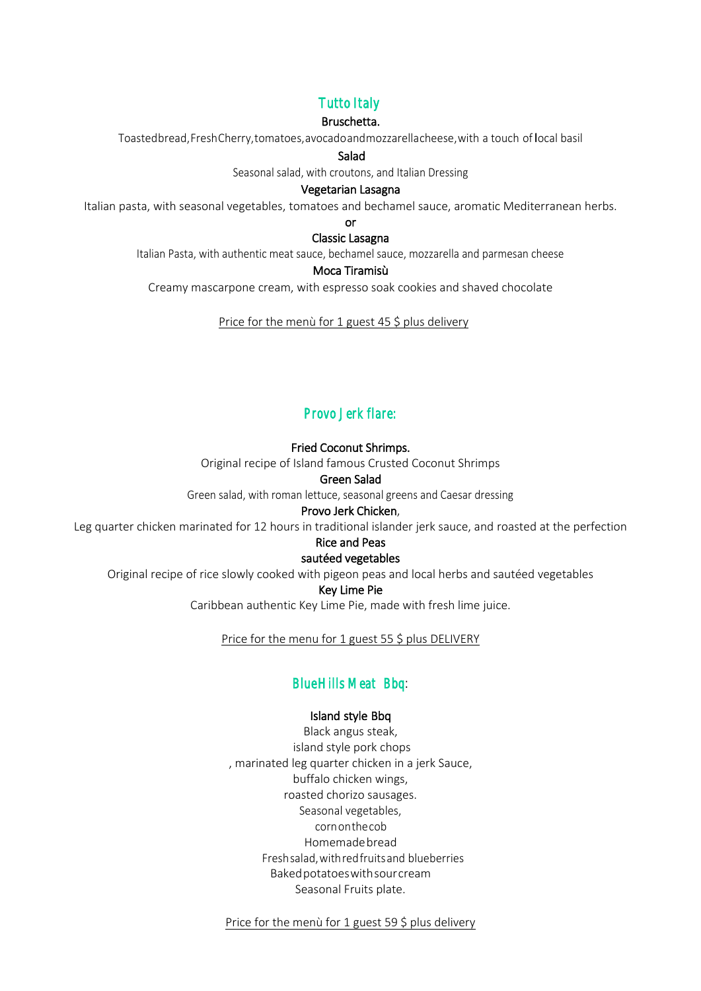## *Tutto Italy*

#### Bruschetta.

Toastedbread,FreshCherry,tomatoes,avocadoandmozzarellacheese,with a touch of local basil

#### Salad

Seasonal salad, with croutons, and Italian Dressing

#### Vegetarian Lasagna

Italian pasta, with seasonal vegetables, tomatoes and bechamel sauce, aromatic Mediterranean herbs.

or

Classic Lasagna

Italian Pasta, with authentic meat sauce, bechamel sauce, mozzarella and parmesan cheese

#### Moca Tiramisù

Creamy mascarpone cream, with espresso soak cookies and shaved chocolate

Price for the menù for 1 guest 45 \$ plus delivery

### *Provo Jerk flare:*

#### Fried Coconut Shrimps.

Original recipe of Island famous Crusted Coconut Shrimps

#### Green Salad

Green salad, with roman lettuce, seasonal greens and Caesar dressing

#### Provo Jerk Chicken,

Leg quarter chicken marinated for 12 hours in traditional islander jerk sauce, and roasted at the perfection

### Rice and Peas

#### sautéed vegetables

Original recipe of rice slowly cooked with pigeon peas and local herbs and sautéed vegetables

Key Lime Pie

Caribbean authentic Key Lime Pie, made with fresh lime juice.

Price for the menu for 1 guest 55 \$ plus DELIVERY

### *Blue Hills Meat Bbq*:

#### Island style Bbq

Black angus steak, island style pork chops , marinated leg quarter chicken in a jerk Sauce, buffalo chicken wings, roasted chorizo sausages. Seasonal vegetables, cornonthecob Homemade bread Freshsalad,withredfruitsand blueberries Bakedpotatoeswithsourcream Seasonal Fruits plate.

Price for the menù for 1 guest 59 \$ plus delivery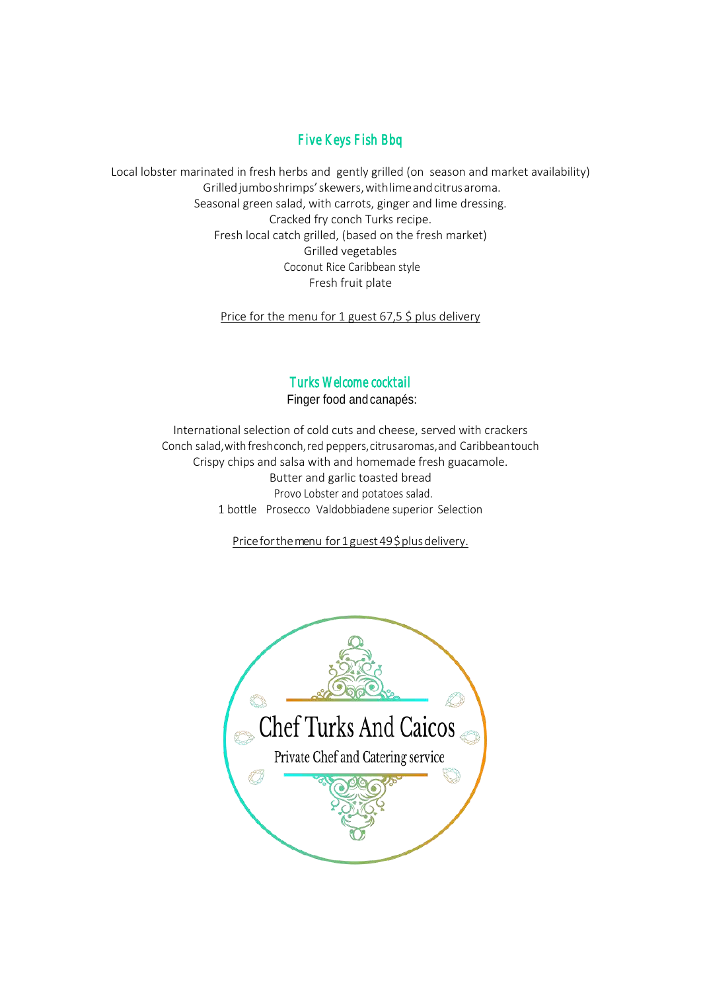### *Five Keys Fish Bbq*

Local lobster marinated in fresh herbs and gently grilled (on season and market availability) Grilledjumboshrimps'skewers,withlimeandcitrusaroma. Seasonal green salad, with carrots, ginger and lime dressing. Cracked fry conch Turks recipe. Fresh local catch grilled, (based on the fresh market) Grilled vegetables Coconut Rice Caribbean style Fresh fruit plate

Price for the menu for 1 guest 67,5 \$ plus delivery

### *Turks Welcome cocktail*

Finger food andcanapés:

International selection of cold cuts and cheese, served with crackers Conch salad,with freshconch,red peppers,citrusaromas,and Caribbeantouch Crispy chips and salsa with and homemade fresh guacamole. Butter and garlic toasted bread Provo Lobster and potatoes salad. 1 bottle Prosecco Valdobbiadene superior Selection

Price for the menu for 1 guest 49 \$ plus delivery.